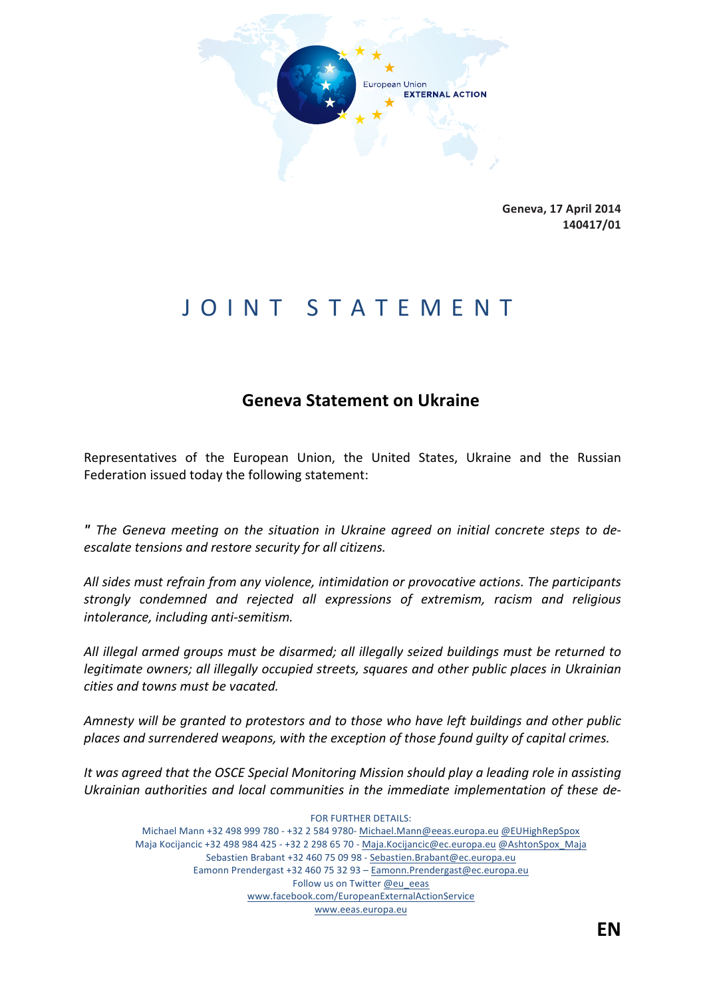

**Geneva, 17#April#2014 140417/01**

## JOINT STATEMENT

## **Geneva Statement on Ukraine**

Representatives of the European Union, the United States, Ukraine and the Russian Federation issued today the following statement:

**"** The Geneva meeting on the situation in Ukraine agreed on initial concrete steps to de*escalate tensions and restore security for all citizens.* 

All sides must refrain from any violence, intimidation or provocative actions. The participants strongly condemned and rejected all expressions of extremism, racism and religious *intolerance, including anti-semitism.* 

All illegal armed groups must be disarmed; all illegally seized buildings must be returned to *legitimate owners; all illegally occupied streets, squares and other public places in Ukrainian cities and towns must be vacated.* 

Amnesty will be granted to protestors and to those who have left buildings and other public places and surrendered weapons, with the exception of those found guilty of capital crimes.

It was agreed that the OSCE Special Monitoring Mission should play a leading role in assisting Ukrainian authorities and local communities in the immediate implementation of these de-

FOR FURTHER DETAILS: Michael Mann +32 498 999 780 - +32 2 584 9780- Michael.Mann@eeas.europa.eu @EUHighRepSpox Maja Kocijancic +32 498 984 425 - +32 2 298 65 70 - Maja.Kocijancic@ec.europa.eu @AshtonSpox\_Maja Sebastien Brabant +32 460 75 09 98 - Sebastien.Brabant@ec.europa.eu Eamonn Prendergast +32 460 75 32 93 - Eamonn.Prendergast@ec.europa.eu Follow us on Twitter @eu\_eeas www.facebook.com/EuropeanExternalActionService www.eeas.europa.eu